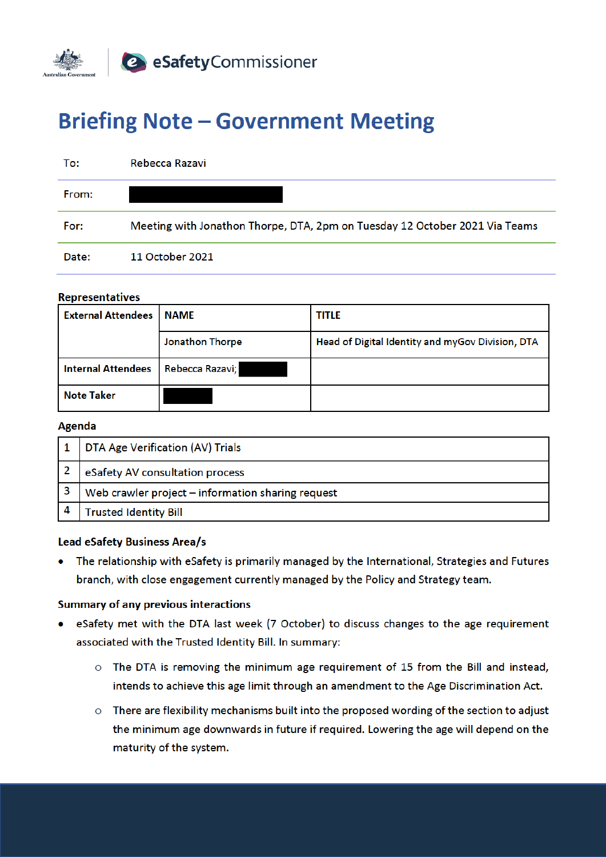

# **Briefing Note - Government Meeting**

| To:   | Rebecca Razavi                                                              |
|-------|-----------------------------------------------------------------------------|
| From: |                                                                             |
| For:  | Meeting with Jonathon Thorpe, DTA, 2pm on Tuesday 12 October 2021 Via Teams |
| Date: | 11 October 2021                                                             |

#### **Representatives**

| <b>External Attendees</b> | <b>NAME</b>     | <b>TITLE</b>                                     |
|---------------------------|-----------------|--------------------------------------------------|
|                           | Jonathon Thorpe | Head of Digital Identity and myGov Division, DTA |
| <b>Internal Attendees</b> | Rebecca Razavi; |                                                  |
| <b>Note Taker</b>         |                 |                                                  |

#### Agenda

| DTA Age Verification (AV) Trials                  |
|---------------------------------------------------|
| eSafety AV consultation process                   |
| Web crawler project - information sharing request |
| <b>Trusted Identity Bill</b>                      |

#### **Lead eSafety Business Area/s**

• The relationship with eSafety is primarily managed by the International, Strategies and Futures branch, with close engagement currently managed by the Policy and Strategy team.

#### **Summary of any previous interactions**

- eSafety met with the DTA last week (7 October) to discuss changes to the age requirement associated with the Trusted Identity Bill. In summary:
	- o The DTA is removing the minimum age requirement of 15 from the Bill and instead, intends to achieve this age limit through an amendment to the Age Discrimination Act.
	- o There are flexibility mechanisms built into the proposed wording of the section to adjust the minimum age downwards in future if required. Lowering the age will depend on the maturity of the system.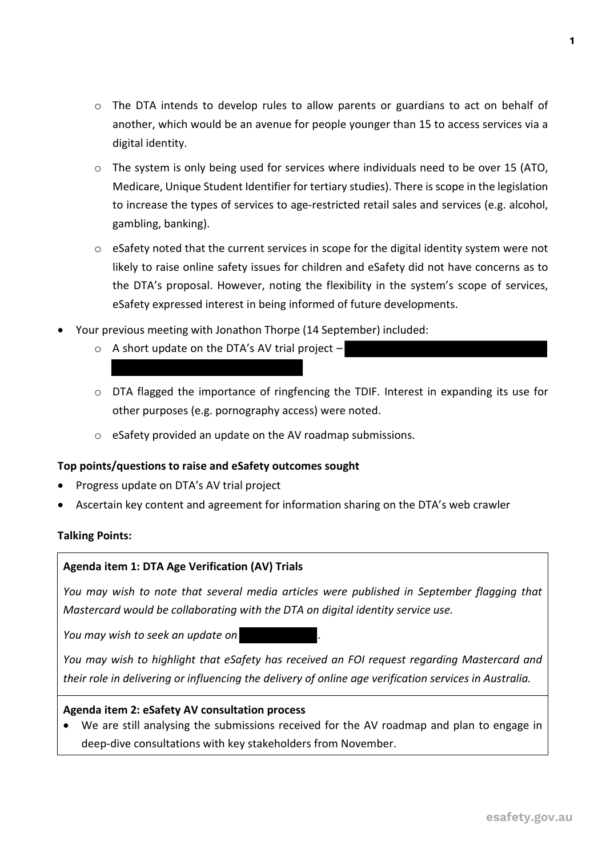- $\circ$  The DTA intends to develop rules to allow parents or guardians to act on behalf of another, which would be an avenue for people younger than 15 to access services via a digital identity.
- $\circ$  The system is only being used for services where individuals need to be over 15 (ATO, Medicare, Unique Student Identifier for tertiary studies). There is scope in the legislation to increase the types of services to age-restricted retail sales and services (e.g. alcohol, gambling, banking).
- $\circ$  eSafety noted that the current services in scope for the digital identity system were not likely to raise online safety issues for children and eSafety did not have concerns as to the DTA's proposal. However, noting the flexibility in the system's scope of services, eSafety expressed interest in being informed of future developments.
- Your previous meeting with Jonathon Thorpe (14 September) included:
	- $\circ$  A short update on the DTA's AV trial project –
	- o DTA flagged the importance of ringfencing the TDIF. Interest in expanding its use for other purposes (e.g. pornography access) were noted.
	- o eSafety provided an update on the AV roadmap submissions.

### **Top points/questions to raise and eSafety outcomes sought**

- Progress update on DTA's AV trial project
- Ascertain key content and agreement for information sharing on the DTA's web crawler

### **Talking Points:**

### **Agenda item 1: DTA Age Verification (AV) Trials**

*You may wish to note that several media articles were published in September flagging that Mastercard would be collaborating with the DTA on digital identity service use.*

*You may wish to seek an update on .*

*You may wish to highlight that eSafety has received an FOI request regarding Mastercard and their role in delivering or influencing the delivery of online age verification services in Australia.* 

### **Agenda item 2: eSafety AV consultation process**

• We are still analysing the submissions received for the AV roadmap and plan to engage in deep-dive consultations with key stakeholders from November.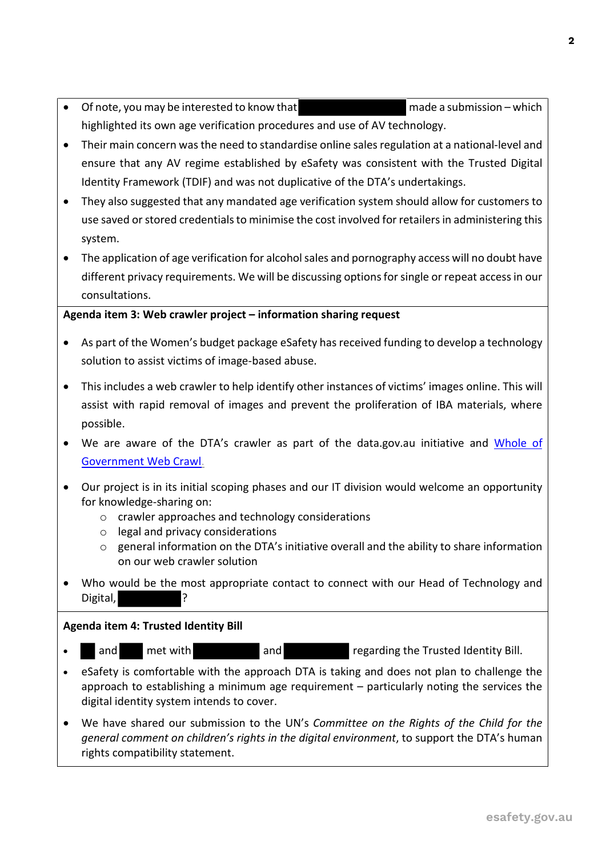- Of note, you may be interested to know that mean made a submission which highlighted its own age verification procedures and use of AV technology.
- Their main concern was the need to standardise online sales regulation at a national-level and ensure that any AV regime established by eSafety was consistent with the Trusted Digital Identity Framework (TDIF) and was not duplicative of the DTA's undertakings.
- They also suggested that any mandated age verification system should allow for customers to use saved or stored credentials to minimise the cost involved for retailers in administering this system.
- The application of age verification for alcohol sales and pornography access will no doubt have different privacy requirements. We will be discussing options for single or repeat access in our consultations.

## **Agenda item 3: Web crawler project – information sharing request**

- As part of the Women's budget package eSafety has received funding to develop a technology solution to assist victims of image-based abuse.
- This includes a web crawler to help identify other instances of victims' images online. This will assist with rapid removal of images and prevent the proliferation of IBA materials, where possible.
- We are aware of the DTA's crawler as part of the data.gov.au initiative and Whole of Government Web Crawl.
- Our project is in its initial scoping phases and our IT division would welcome an opportunity for knowledge-sharing on:
	- o crawler approaches and technology considerations
	- o legal and privacy considerations
	- $\circ$  general information on the DTA's initiative overall and the ability to share information on our web crawler solution
- Who would be the most appropriate contact to connect with our Head of Technology and Digital,

## **Agenda item 4: Trusted Identity Bill**

- and met with and and regarding the Trusted Identity Bill.
- eSafety is comfortable with the approach DTA is taking and does not plan to challenge the approach to establishing a minimum age requirement – particularly noting the services the digital identity system intends to cover.
- We have shared our submission to the UN's *Committee on the Rights of the Child for the general comment on children's rights in the digital environment*, to support the DTA's human rights compatibility statement.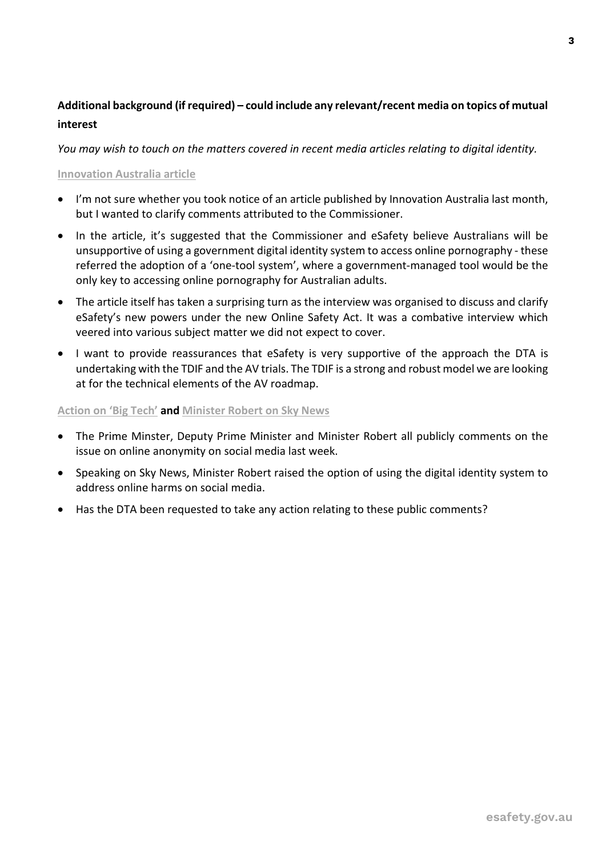## **Additional background (if required) – could include any relevant/recent media on topics of mutual interest**

*You may wish to touch on the matters covered in recent media articles relating to digital identity.* 

### **Innovation Australia article**

- I'm not sure whether you took notice of an article published by Innovation Australia last month, but I wanted to clarify comments attributed to the Commissioner.
- In the article, it's suggested that the Commissioner and eSafety believe Australians will be unsupportive of using a government digital identity system to access online pornography - these referred the adoption of a 'one-tool system', where a government-managed tool would be the only key to accessing online pornography for Australian adults.
- The article itself has taken a surprising turn as the interview was organised to discuss and clarify eSafety's new powers under the new Online Safety Act. It was a combative interview which veered into various subject matter we did not expect to cover.
- I want to provide reassurances that eSafety is very supportive of the approach the DTA is undertaking with the TDIF and the AV trials. The TDIF is a strong and robust model we are looking at for the technical elements of the AV roadmap.

## **Action on 'Big Tech' and Minister Robert on Sky News**

- The Prime Minster, Deputy Prime Minister and Minister Robert all publicly comments on the issue on online anonymity on social media last week.
- Speaking on Sky News, Minister Robert raised the option of using the digital identity system to address online harms on social media.
- Has the DTA been requested to take any action relating to these public comments?